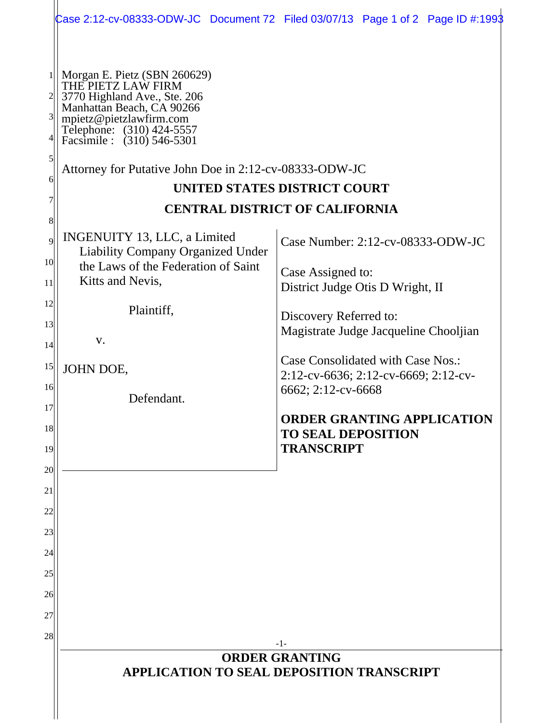|                                                                                                                                                                                                                                                                            | Case 2:12-cv-08333-ODW-JC Document 72 Filed 03/07/13 Page 1 of 2 Page ID #:1993                     |
|----------------------------------------------------------------------------------------------------------------------------------------------------------------------------------------------------------------------------------------------------------------------------|-----------------------------------------------------------------------------------------------------|
| Morgan E. Pietz (SBN 260629)<br>THE PIETZ LAW FIRM<br>3770 Highland Ave., Ste. 206<br>Manhattan Beach, CA 90266<br>3 <br>mpietz@pietzlawfirm.com<br>Telephone: (310) 424-5557<br>Facsimile : (310) 546-5301<br>Attorney for Putative John Doe in 2:12-cv-08333-ODW-JC<br>6 |                                                                                                     |
| UNITED STATES DISTRICT COURT                                                                                                                                                                                                                                               |                                                                                                     |
| <b>CENTRAL DISTRICT OF CALIFORNIA</b><br>8                                                                                                                                                                                                                                 |                                                                                                     |
| INGENUITY 13, LLC, a Limited<br>9<br><b>Liability Company Organized Under</b><br>10 <sup>l</sup><br>the Laws of the Federation of Saint<br>Kitts and Nevis,<br>11                                                                                                          | Case Number: 2:12-cv-08333-ODW-JC<br>Case Assigned to:                                              |
| 12<br>Plaintiff,<br>13<br>V.<br>14                                                                                                                                                                                                                                         | District Judge Otis D Wright, II<br>Discovery Referred to:<br>Magistrate Judge Jacqueline Chooljian |
| 15<br>JOHN DOE,<br>16<br>Defendant.                                                                                                                                                                                                                                        | Case Consolidated with Case Nos.:<br>2:12-cv-6636; 2:12-cv-6669; 2:12-cv-<br>6662; 2:12-cv-6668     |
| 17<br>18<br>19                                                                                                                                                                                                                                                             | <b>ORDER GRANTING APPLICATION</b><br><b>TO SEAL DEPOSITION</b><br><b>TRANSCRIPT</b>                 |
| 20<br>21                                                                                                                                                                                                                                                                   |                                                                                                     |
| 22<br>23                                                                                                                                                                                                                                                                   |                                                                                                     |
| 24<br>25                                                                                                                                                                                                                                                                   |                                                                                                     |
| 26<br>27                                                                                                                                                                                                                                                                   |                                                                                                     |
| 28                                                                                                                                                                                                                                                                         |                                                                                                     |
|                                                                                                                                                                                                                                                                            | $-1-$                                                                                               |
| <b>ORDER GRANTING</b><br><b>APPLICATION TO SEAL DEPOSITION TRANSCRIPT</b>                                                                                                                                                                                                  |                                                                                                     |